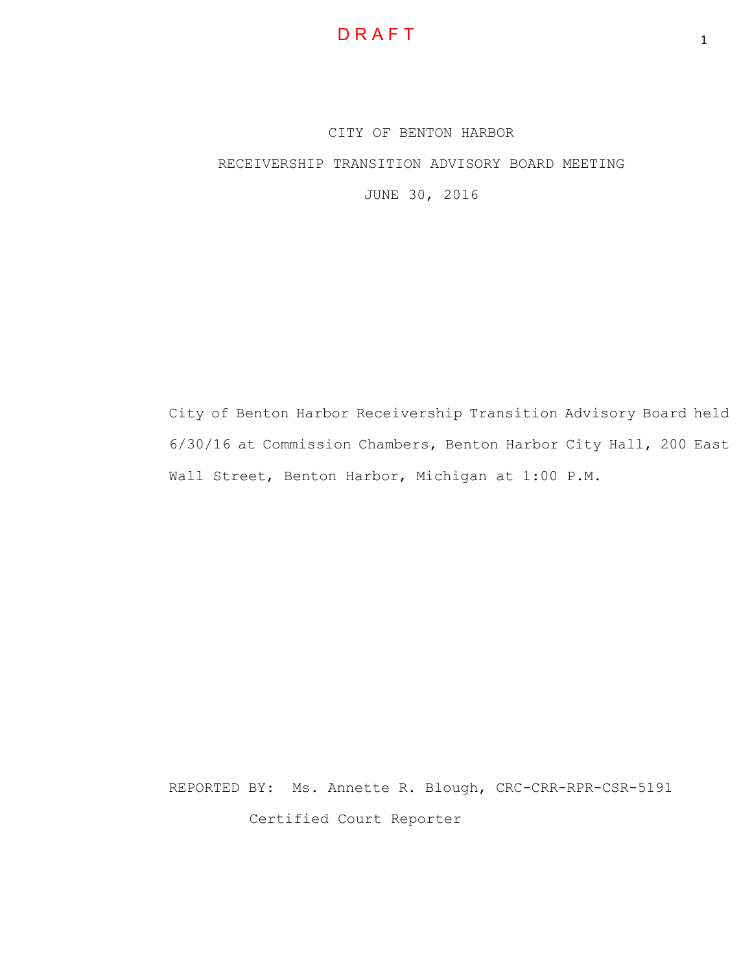CITY OF BENTON HARBOR RECEIVERSHIP TRANSITION ADVISORY BOARD MEETING JUNE 30, 2016

City of Benton Harbor Receivership Transition Advisory Board held 6/30/16 at Commission Chambers, Benton Harbor City Hall, 200 East Wall Street, Benton Harbor, Michigan at 1:00 P.M.

REPORTED BY: Ms. Annette R. Blough, CRC-CRR-RPR-CSR-5191 Certified Court Reporter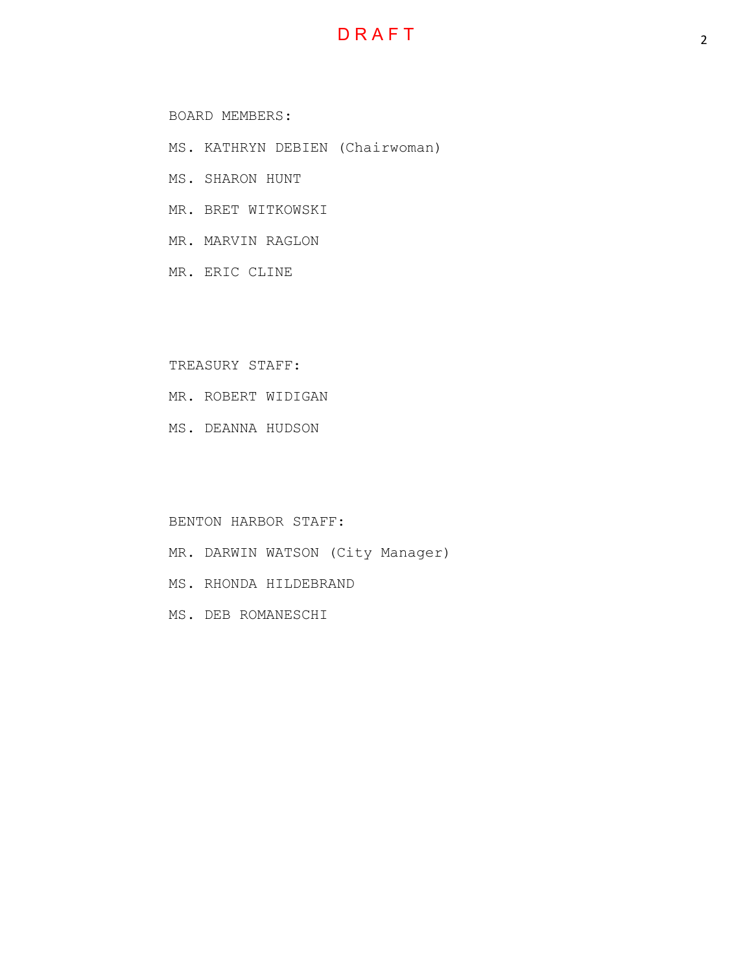## **D R A F T**

#### BOARD MEMBERS:

- MS. KATHRYN DEBIEN (Chairwoman)
- MS. SHARON HUNT
- MR. BRET WITKOWSKI
- MR. MARVIN RAGLON
- MR. ERIC CLINE

#### TREASURY STAFF:

- MR. ROBERT WIDIGAN
- MS. DEANNA HUDSON

#### BENTON HARBOR STAFF:

- MR. DARWIN WATSON (City Manager)
- MS. RHONDA HILDEBRAND
- MS. DEB ROMANESCHI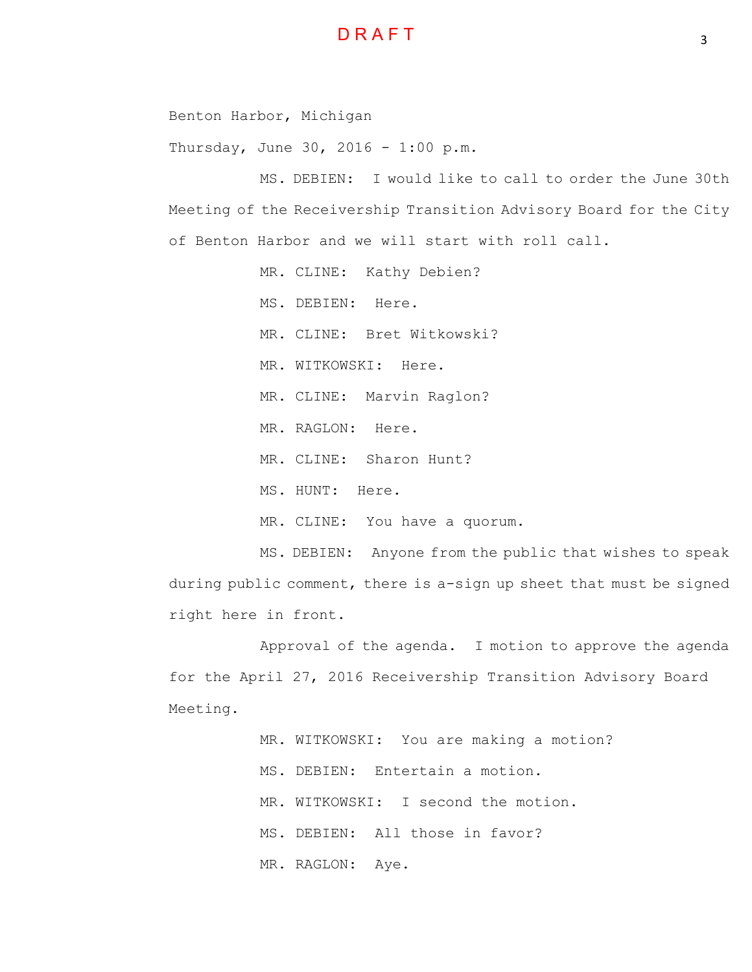Benton Harbor, Michigan

Thursday, June 30, 2016 - 1:00 p.m.

MS. DEBIEN: I would like to call to order the June 30th Meeting of the Receivership Transition Advisory Board for the City of Benton Harbor and we will start with roll call.

MR. CLINE: Kathy Debien?

MS. DEBIEN: Here.

MR. CLINE: Bret Witkowski?

MR. WITKOWSKI: Here.

MR. CLINE: Marvin Raglon?

MR. RAGLON: Here.

MR. CLINE: Sharon Hunt?

MS. HUNT: Here.

MR. CLINE: You have a quorum.

MS. DEBIEN: Anyone from the public that wishes to speak during public comment, there is a-sign up sheet that must be signed right here in front.

Approval of the agenda. I motion to approve the agenda for the April 27, 2016 Receivership Transition Advisory Board Meeting.

> MR. WITKOWSKI: You are making a motion? MS. DEBIEN: Entertain a motion. MR. WITKOWSKI: I second the motion. MS. DEBIEN: All those in favor? MR. RAGLON: Aye.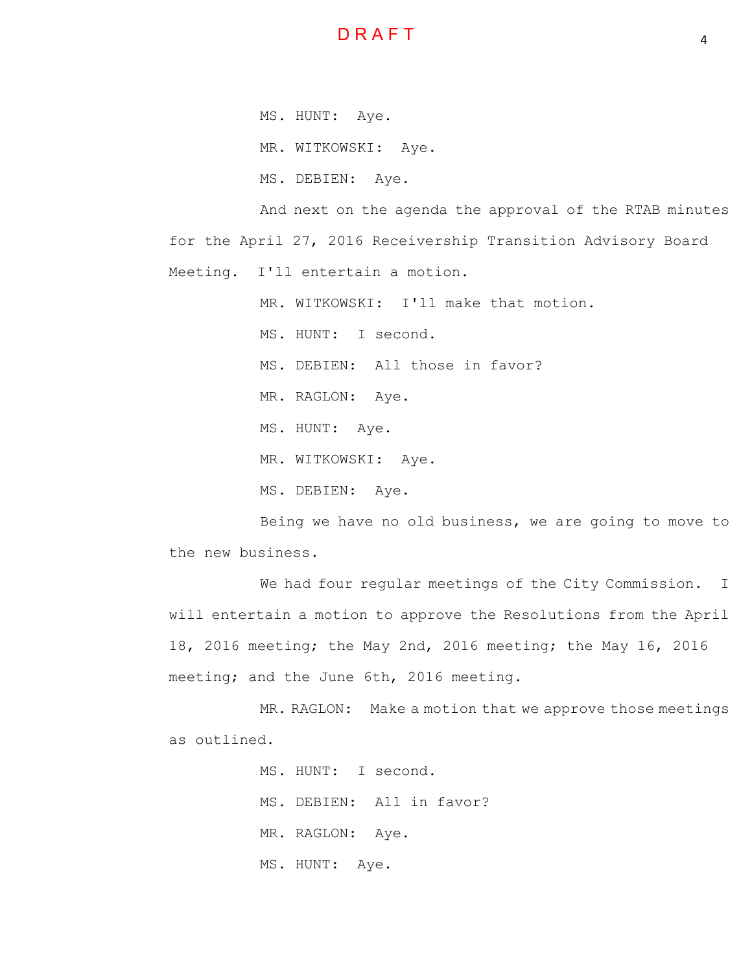

MS. HUNT: Aye.

MR. WITKOWSKI: Aye.

MS. DEBIEN: Aye.

And next on the agenda the approval of the RTAB minutes for the April 27, 2016 Receivership Transition Advisory Board Meeting. I'll entertain a motion.

MR. WITKOWSKI: I'll make that motion.

MS. HUNT: I second.

MS. DEBIEN: All those in favor?

MR. RAGLON: Aye.

MS. HUNT: Aye.

MR. WITKOWSKI: Aye.

MS. DEBIEN: Aye.

Being we have no old business, we are going to move to the new business.

We had four regular meetings of the City Commission. I will entertain a motion to approve the Resolutions from the April 18, 2016 meeting; the May 2nd, 2016 meeting; the May 16, 2016 meeting; and the June 6th, 2016 meeting.

MR. RAGLON: Make a motion that we approve those meetings as outlined.

> MS. HUNT: I second. MS. DEBIEN: All in favor? MR. RAGLON: Aye. MS. HUNT: Aye.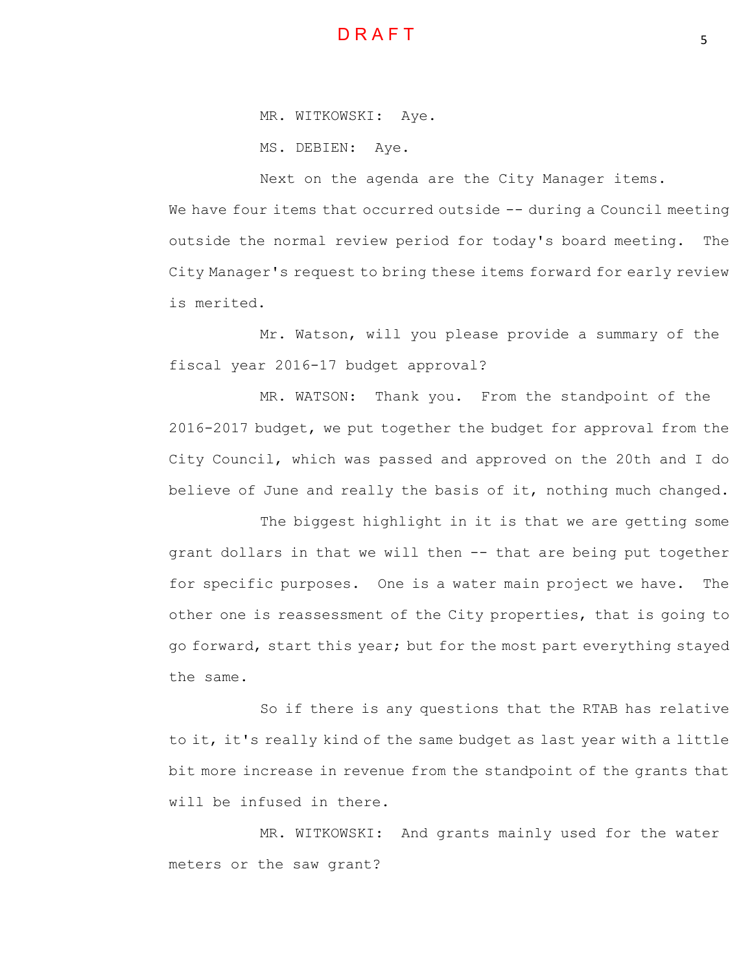

MR. WITKOWSKI: Aye.

MS. DEBIEN: Aye.

Next on the agenda are the City Manager items.

We have four items that occurred outside -- during a Council meeting outside the normal review period for today's board meeting. The City Manager's request to bring these items forward for early review is merited.

Mr. Watson, will you please provide a summary of the fiscal year 2016-17 budget approval?

MR. WATSON: Thank you. From the standpoint of the 2016-2017 budget, we put together the budget for approval from the City Council, which was passed and approved on the 20th and I do believe of June and really the basis of it, nothing much changed.

The biggest highlight in it is that we are getting some grant dollars in that we will then -- that are being put together for specific purposes. One is a water main project we have. The other one is reassessment of the City properties, that is going to go forward, start this year; but for the most part everything stayed the same.

So if there is any questions that the RTAB has relative to it, it's really kind of the same budget as last year with a little bit more increase in revenue from the standpoint of the grants that will be infused in there.

MR. WITKOWSKI: And grants mainly used for the water meters or the saw grant?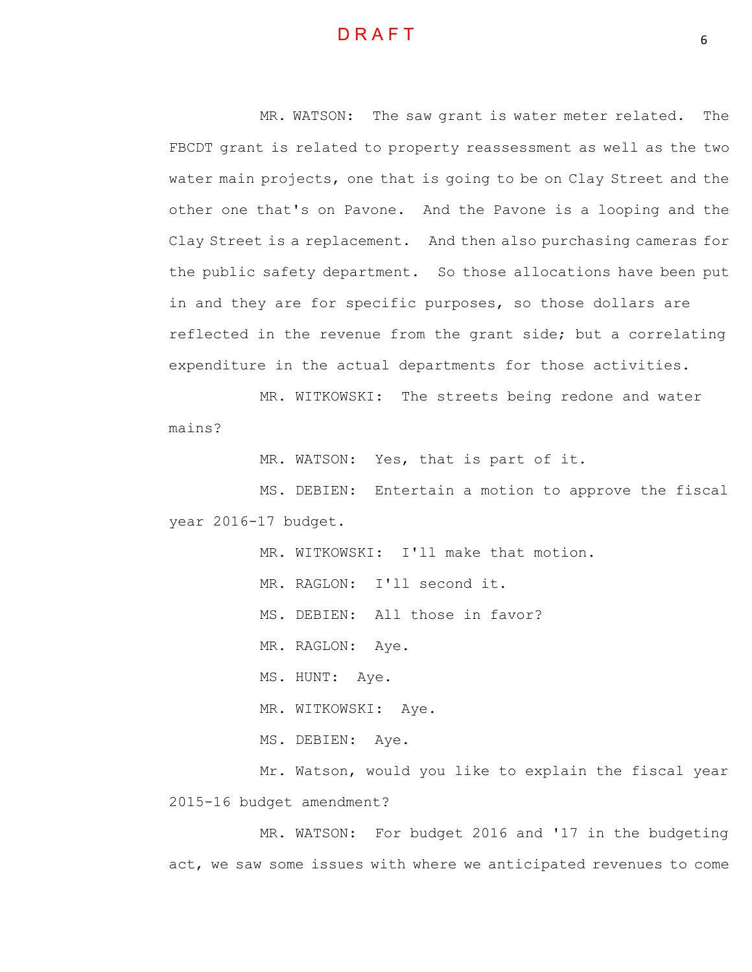MR. WATSON: The saw grant is water meter related. The FBCDT grant is related to property reassessment as well as the two water main projects, one that is going to be on Clay Street and the other one that's on Pavone. And the Pavone is a looping and the Clay Street is a replacement. And then also purchasing cameras for the public safety department. So those allocations have been put in and they are for specific purposes, so those dollars are reflected in the revenue from the grant side; but a correlating expenditure in the actual departments for those activities.

MR. WITKOWSKI: The streets being redone and water mains?

MR. WATSON: Yes, that is part of it.

MS. DEBIEN: Entertain a motion to approve the fiscal year 2016-17 budget.

MR. WITKOWSKI: I'll make that motion.

MR. RAGLON: I'll second it.

MS. DEBIEN: All those in favor?

MR. RAGLON: Aye.

MS. HUNT: Aye.

MR. WITKOWSKI: Aye.

MS. DEBIEN: Aye.

Mr. Watson, would you like to explain the fiscal year 2015-16 budget amendment?

MR. WATSON: For budget 2016 and '17 in the budgeting act, we saw some issues with where we anticipated revenues to come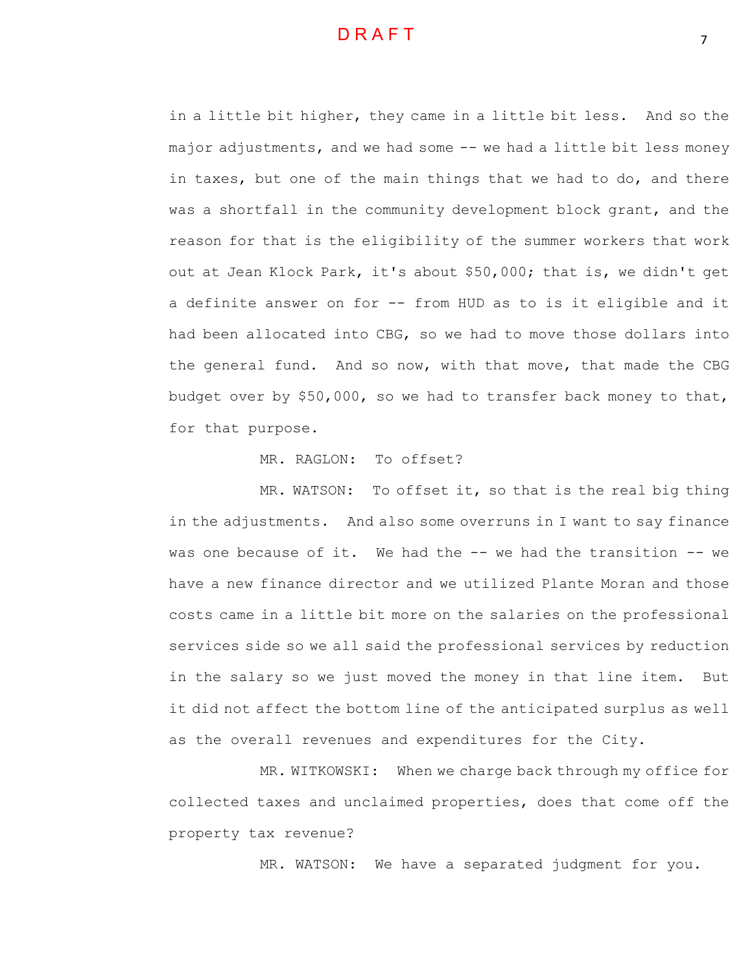in a little bit higher, they came in a little bit less. And so the major adjustments, and we had some -- we had a little bit less money in taxes, but one of the main things that we had to do, and there was a shortfall in the community development block grant, and the reason for that is the eligibility of the summer workers that work out at Jean Klock Park, it's about \$50,000; that is, we didn't get a definite answer on for -- from HUD as to is it eligible and it had been allocated into CBG, so we had to move those dollars into the general fund. And so now, with that move, that made the CBG budget over by \$50,000, so we had to transfer back money to that, for that purpose.

MR. RAGLON: To offset?

MR. WATSON: To offset it, so that is the real big thing in the adjustments. And also some overruns in I want to say finance was one because of it. We had the -- we had the transition -- we have a new finance director and we utilized Plante Moran and those costs came in a little bit more on the salaries on the professional services side so we all said the professional services by reduction in the salary so we just moved the money in that line item. But it did not affect the bottom line of the anticipated surplus as well as the overall revenues and expenditures for the City.

MR. WITKOWSKI: When we charge back through my office for collected taxes and unclaimed properties, does that come off the property tax revenue?

MR. WATSON: We have a separated judgment for you.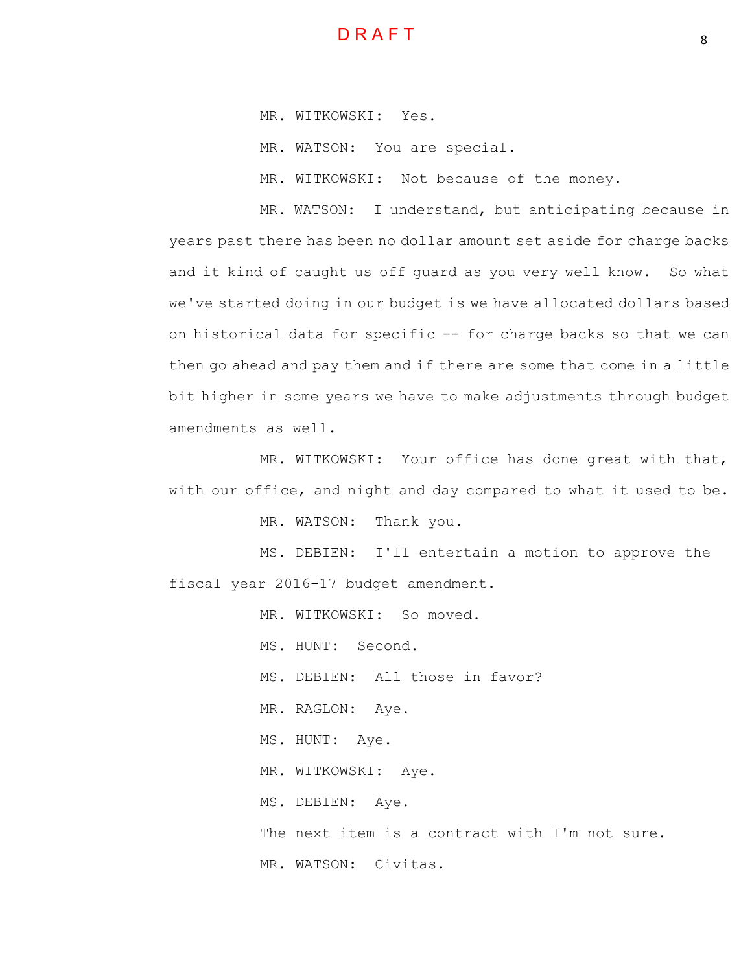

MR. WITKOWSKI: Yes.

MR. WATSON: You are special.

MR. WITKOWSKI: Not because of the money.

MR. WATSON: I understand, but anticipating because in years past there has been no dollar amount set aside for charge backs and it kind of caught us off guard as you very well know. So what we've started doing in our budget is we have allocated dollars based on historical data for specific -- for charge backs so that we can then go ahead and pay them and if there are some that come in a little bit higher in some years we have to make adjustments through budget amendments as well.

MR. WITKOWSKI: Your office has done great with that, with our office, and night and day compared to what it used to be.

MR. WATSON: Thank you.

MS. DEBIEN: I'll entertain a motion to approve the fiscal year 2016-17 budget amendment.

MR. WITKOWSKI: So moved.

MS. HUNT: Second.

MS. DEBIEN: All those in favor?

MR. RAGLON: Aye.

MS. HUNT: Aye.

MR. WITKOWSKI: Aye.

MS. DEBIEN: Aye.

The next item is a contract with I'm not sure.

MR. WATSON: Civitas.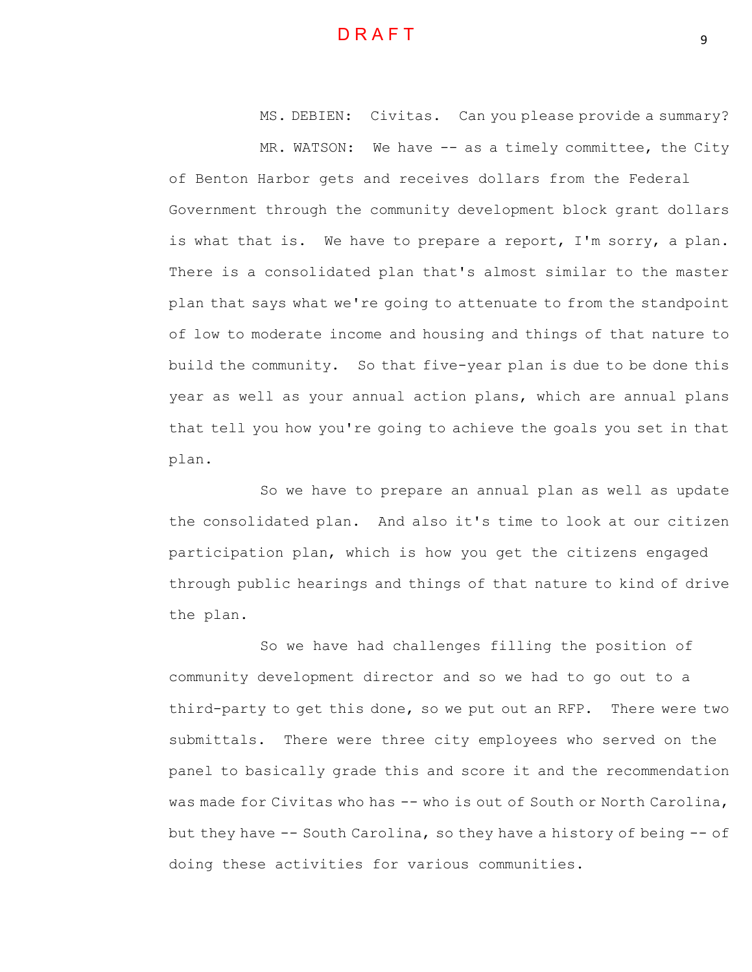MS. DEBIEN: Civitas. Can you please provide a summary? MR. WATSON: We have -- as a timely committee, the City

of Benton Harbor gets and receives dollars from the Federal Government through the community development block grant dollars is what that is. We have to prepare a report, I'm sorry, a plan. There is a consolidated plan that's almost similar to the master plan that says what we're going to attenuate to from the standpoint of low to moderate income and housing and things of that nature to build the community. So that five-year plan is due to be done this year as well as your annual action plans, which are annual plans that tell you how you're going to achieve the goals you set in that plan.

So we have to prepare an annual plan as well as update the consolidated plan. And also it's time to look at our citizen participation plan, which is how you get the citizens engaged through public hearings and things of that nature to kind of drive the plan.

So we have had challenges filling the position of community development director and so we had to go out to a third-party to get this done, so we put out an RFP. There were two submittals. There were three city employees who served on the panel to basically grade this and score it and the recommendation was made for Civitas who has -- who is out of South or North Carolina, but they have -- South Carolina, so they have a history of being -- of doing these activities for various communities.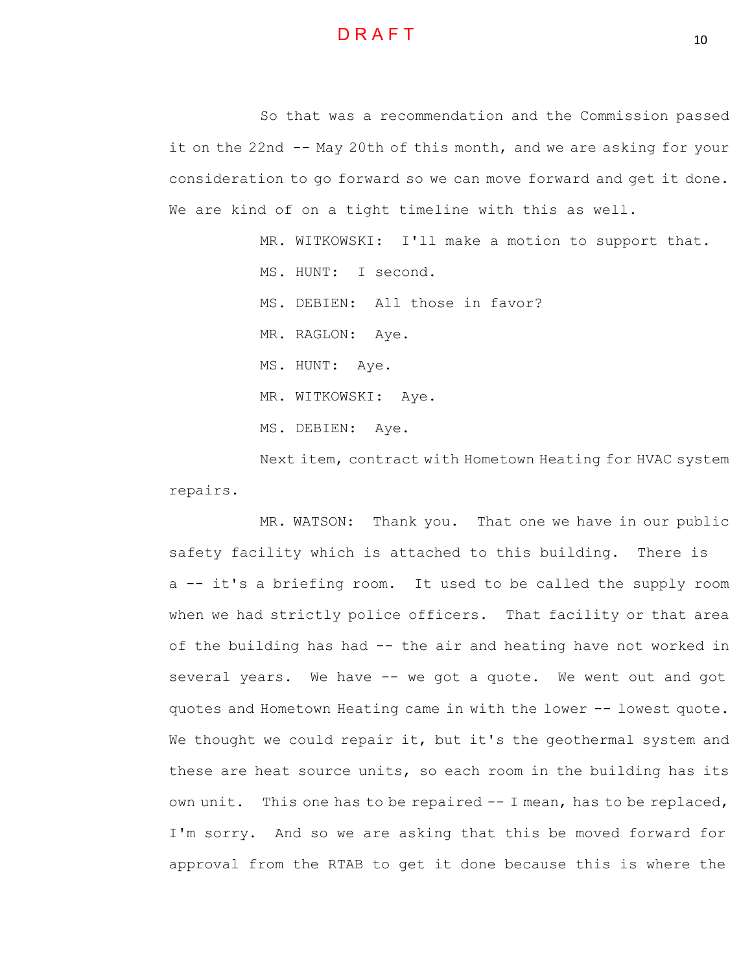

So that was a recommendation and the Commission passed it on the 22nd -- May 20th of this month, and we are asking for your consideration to go forward so we can move forward and get it done. We are kind of on a tight timeline with this as well.

MR. WITKOWSKI: I'll make a motion to support that.

MS. HUNT: I second.

MS. DEBIEN: All those in favor?

MR. RAGLON: Aye.

MS. HUNT: Aye.

MR. WITKOWSKI: Aye.

MS. DEBIEN: Aye.

Next item, contract with Hometown Heating for HVAC system repairs.

MR. WATSON: Thank you. That one we have in our public safety facility which is attached to this building. There is a -- it's a briefing room. It used to be called the supply room when we had strictly police officers. That facility or that area of the building has had -- the air and heating have not worked in several years. We have -- we got a quote. We went out and got quotes and Hometown Heating came in with the lower -- lowest quote. We thought we could repair it, but it's the geothermal system and these are heat source units, so each room in the building has its own unit. This one has to be repaired -- I mean, has to be replaced, I'm sorry. And so we are asking that this be moved forward for approval from the RTAB to get it done because this is where the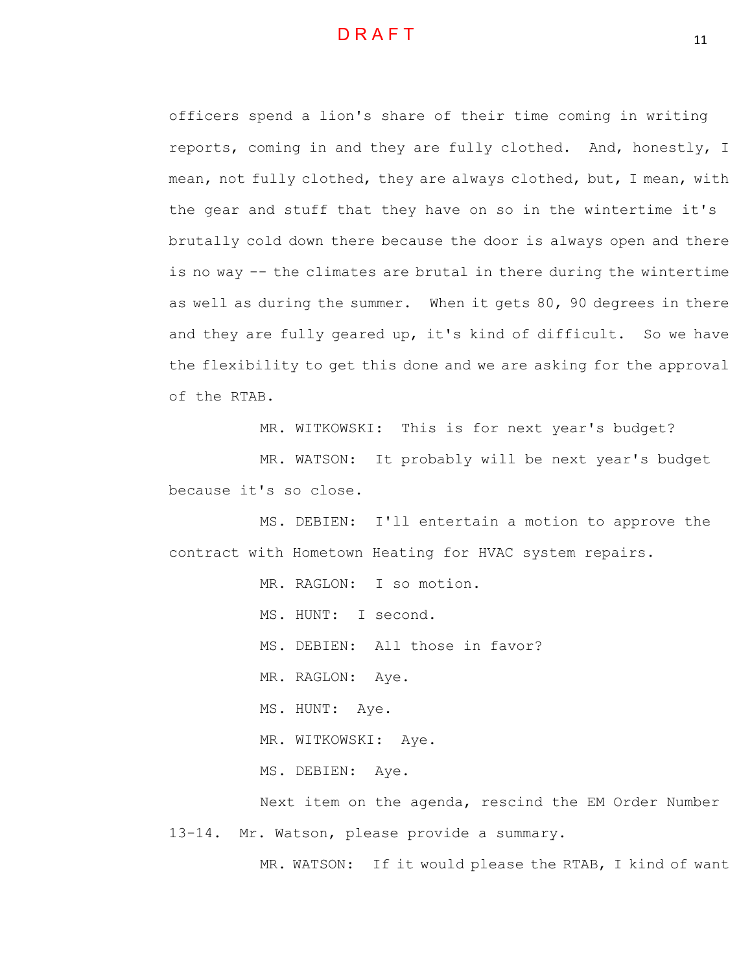officers spend a lion's share of their time coming in writing reports, coming in and they are fully clothed. And, honestly, I mean, not fully clothed, they are always clothed, but, I mean, with the gear and stuff that they have on so in the wintertime it's brutally cold down there because the door is always open and there is no way -- the climates are brutal in there during the wintertime as well as during the summer. When it gets 80, 90 degrees in there and they are fully geared up, it's kind of difficult. So we have the flexibility to get this done and we are asking for the approval of the RTAB.

MR. WITKOWSKI: This is for next year's budget?

MR. WATSON: It probably will be next year's budget because it's so close.

MS. DEBIEN: I'll entertain a motion to approve the contract with Hometown Heating for HVAC system repairs.

MR. RAGLON: I so motion.

MS. HUNT: I second.

MS. DEBIEN: All those in favor?

MR. RAGLON: Aye.

MS. HUNT: Aye.

MR. WITKOWSKI: Aye.

MS. DEBIEN: Aye.

Next item on the agenda, rescind the EM Order Number 13-14. Mr. Watson, please provide a summary.

MR. WATSON: If it would please the RTAB, I kind of want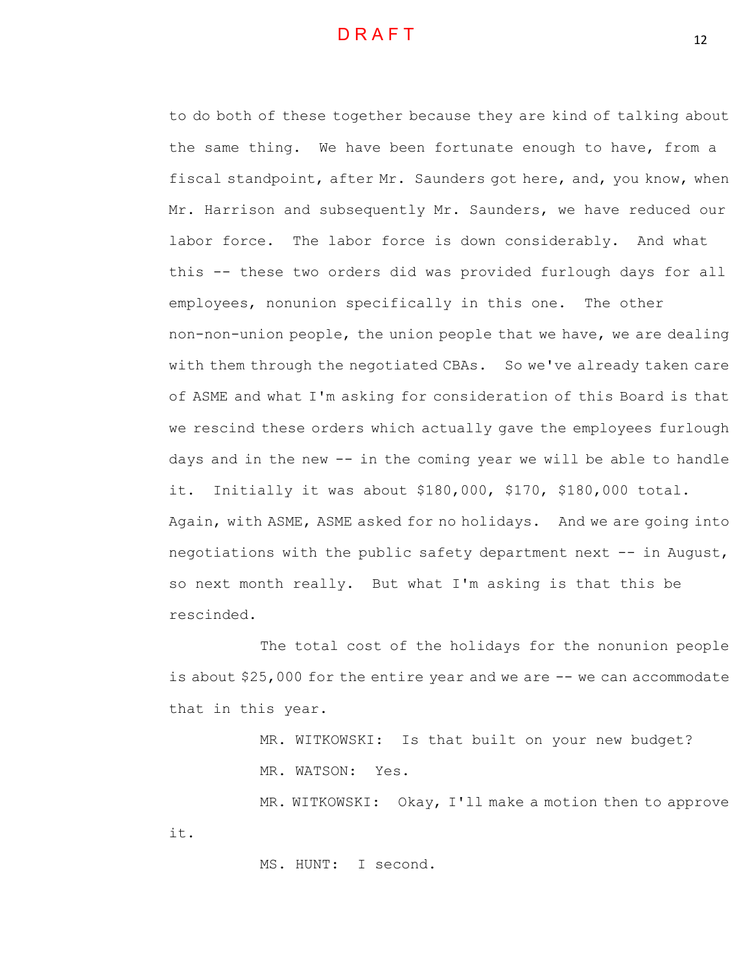to do both of these together because they are kind of talking about the same thing. We have been fortunate enough to have, from a fiscal standpoint, after Mr. Saunders got here, and, you know, when Mr. Harrison and subsequently Mr. Saunders, we have reduced our labor force. The labor force is down considerably. And what this -- these two orders did was provided furlough days for all employees, nonunion specifically in this one. The other non-non-union people, the union people that we have, we are dealing with them through the negotiated CBAs. So we've already taken care of ASME and what I'm asking for consideration of this Board is that we rescind these orders which actually gave the employees furlough days and in the new -- in the coming year we will be able to handle it. Initially it was about \$180,000, \$170, \$180,000 total. Again, with ASME, ASME asked for no holidays. And we are going into negotiations with the public safety department next -- in August, so next month really. But what I'm asking is that this be rescinded.

The total cost of the holidays for the nonunion people is about \$25,000 for the entire year and we are -- we can accommodate that in this year.

> MR. WITKOWSKI: Is that built on your new budget? MR. WATSON: Yes.

MR. WITKOWSKI: Okay, I'll make a motion then to approve it.

MS. HUNT: I second.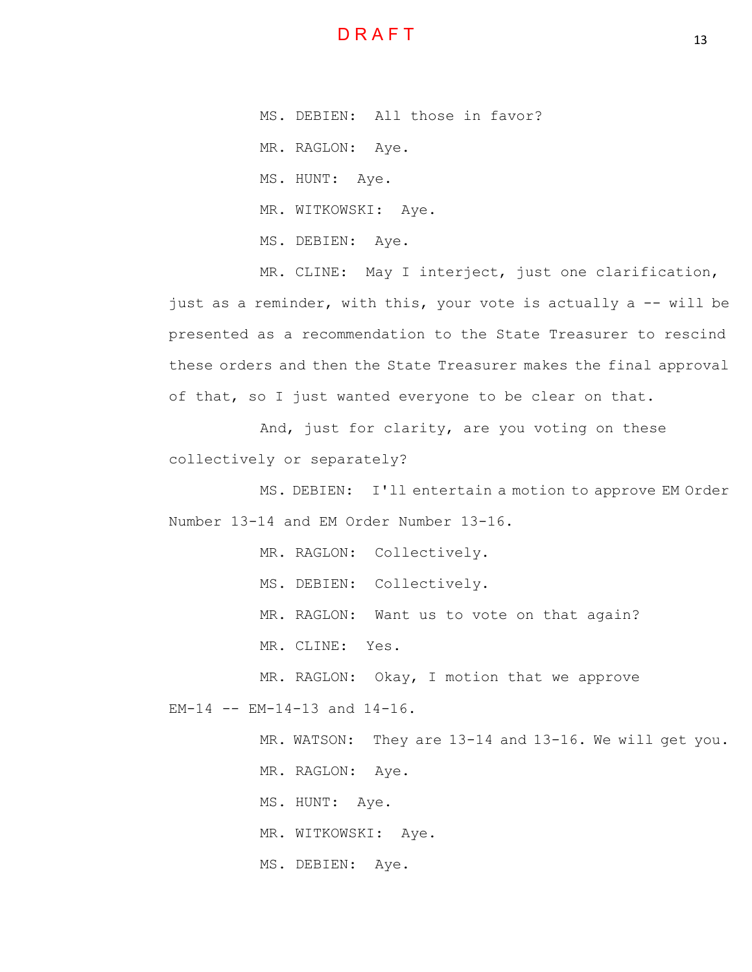MS. DEBIEN: All those in favor?

MR. RAGLON: Aye.

MS. HUNT: Aye.

MR. WITKOWSKI: Aye.

MS. DEBIEN: Aye.

MR. CLINE: May I interject, just one clarification, just as a reminder, with this, your vote is actually a -- will be presented as a recommendation to the State Treasurer to rescind these orders and then the State Treasurer makes the final approval of that, so I just wanted everyone to be clear on that.

And, just for clarity, are you voting on these collectively or separately?

MS. DEBIEN: I'll entertain a motion to approve EM Order Number 13-14 and EM Order Number 13-16.

MR. RAGLON: Collectively.

MS. DEBIEN: Collectively.

MR. RAGLON: Want us to vote on that again?

MR. CLINE: Yes.

MR. RAGLON: Okay, I motion that we approve EM-14 -- EM-14-13 and 14-16.

MR. WATSON: They are 13-14 and 13-16. We will get you.

MR. RAGLON: Aye.

MS. HUNT: Aye.

MR. WITKOWSKI: Aye.

MS. DEBIEN: Aye.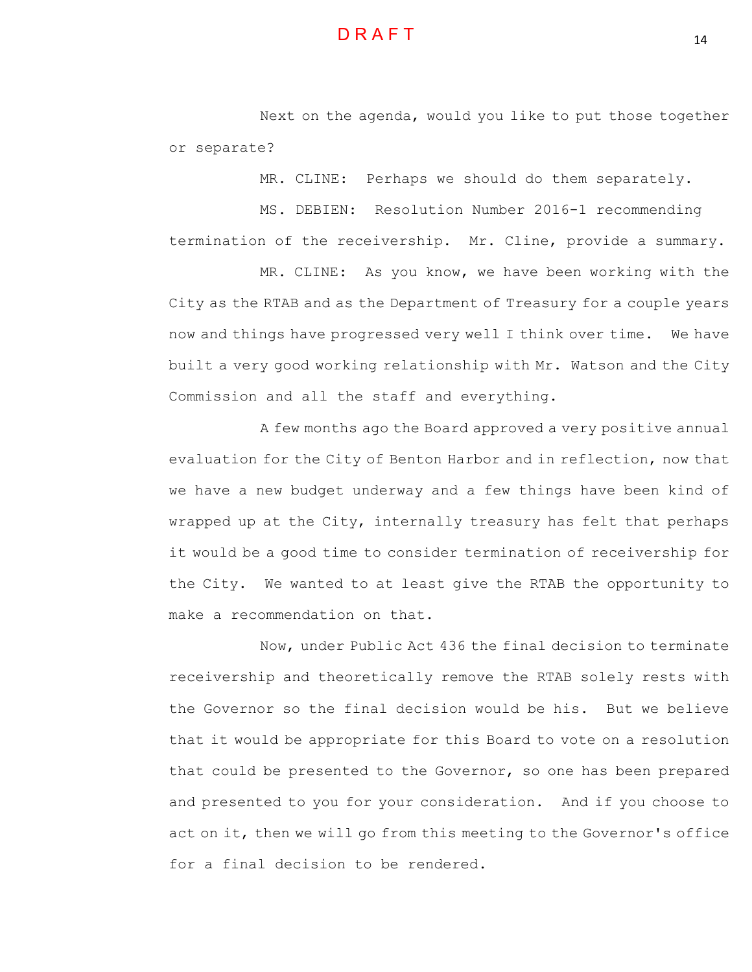Next on the agenda, would you like to put those together or separate?

MR. CLINE: Perhaps we should do them separately.

MS. DEBIEN: Resolution Number 2016-1 recommending termination of the receivership. Mr. Cline, provide a summary.

MR. CLINE: As you know, we have been working with the City as the RTAB and as the Department of Treasury for a couple years now and things have progressed very well I think over time. We have built a very good working relationship with Mr. Watson and the City Commission and all the staff and everything.

A few months ago the Board approved a very positive annual evaluation for the City of Benton Harbor and in reflection, now that we have a new budget underway and a few things have been kind of wrapped up at the City, internally treasury has felt that perhaps it would be a good time to consider termination of receivership for the City. We wanted to at least give the RTAB the opportunity to make a recommendation on that.

Now, under Public Act 436 the final decision to terminate receivership and theoretically remove the RTAB solely rests with the Governor so the final decision would be his. But we believe that it would be appropriate for this Board to vote on a resolution that could be presented to the Governor, so one has been prepared and presented to you for your consideration. And if you choose to act on it, then we will go from this meeting to the Governor's office for a final decision to be rendered.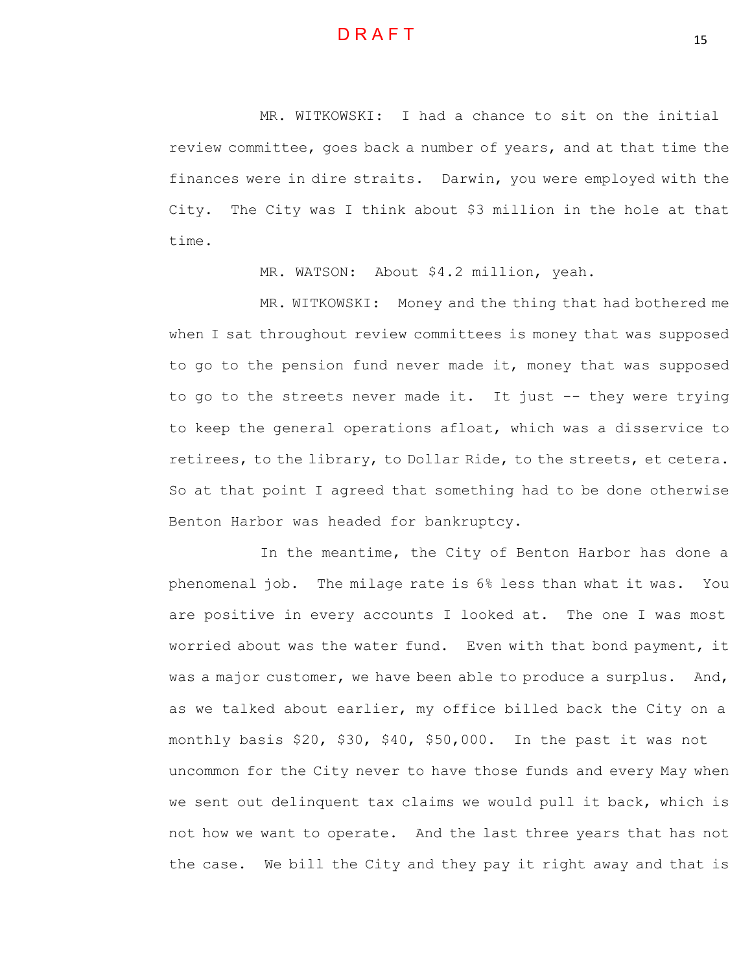MR. WITKOWSKI: I had a chance to sit on the initial review committee, goes back a number of years, and at that time the finances were in dire straits. Darwin, you were employed with the City. The City was I think about \$3 million in the hole at that time.

MR. WATSON: About \$4.2 million, yeah.

MR. WITKOWSKI: Money and the thing that had bothered me when I sat throughout review committees is money that was supposed to go to the pension fund never made it, money that was supposed to go to the streets never made it. It just -- they were trying to keep the general operations afloat, which was a disservice to retirees, to the library, to Dollar Ride, to the streets, et cetera. So at that point I agreed that something had to be done otherwise Benton Harbor was headed for bankruptcy.

In the meantime, the City of Benton Harbor has done a phenomenal job. The milage rate is 6% less than what it was. You are positive in every accounts I looked at. The one I was most worried about was the water fund. Even with that bond payment, it was a major customer, we have been able to produce a surplus. And, as we talked about earlier, my office billed back the City on a monthly basis \$20, \$30, \$40, \$50,000. In the past it was not uncommon for the City never to have those funds and every May when we sent out delinquent tax claims we would pull it back, which is not how we want to operate. And the last three years that has not the case. We bill the City and they pay it right away and that is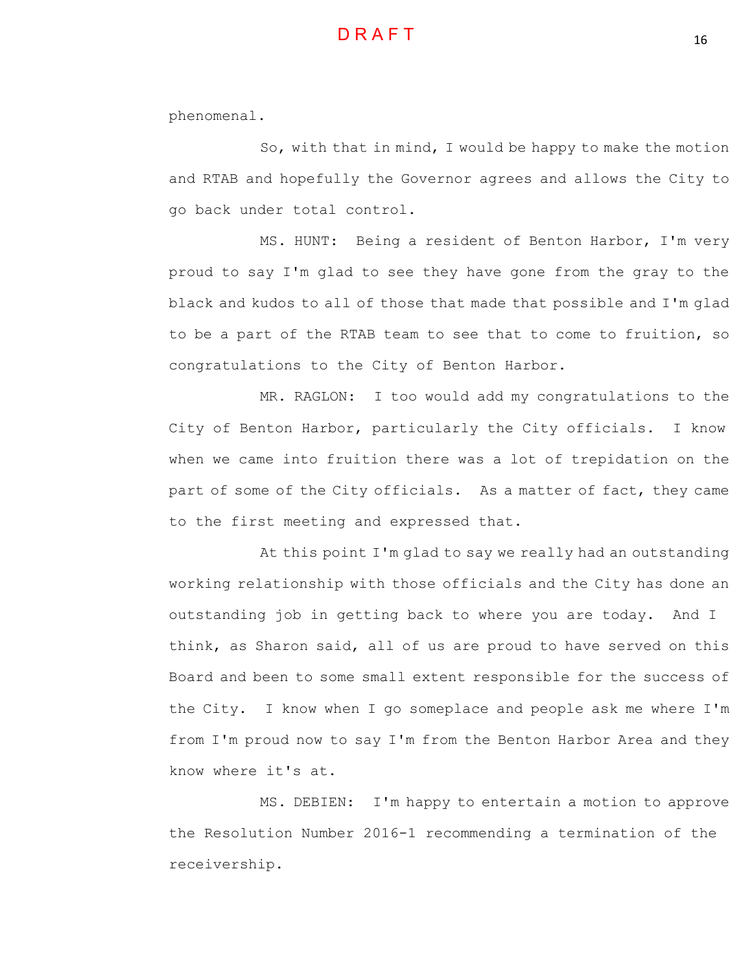phenomenal.

So, with that in mind, I would be happy to make the motion and RTAB and hopefully the Governor agrees and allows the City to go back under total control.

MS. HUNT: Being a resident of Benton Harbor, I'm very proud to say I'm glad to see they have gone from the gray to the black and kudos to all of those that made that possible and I'm glad to be a part of the RTAB team to see that to come to fruition, so congratulations to the City of Benton Harbor.

MR. RAGLON: I too would add my congratulations to the City of Benton Harbor, particularly the City officials. I know when we came into fruition there was a lot of trepidation on the part of some of the City officials. As a matter of fact, they came to the first meeting and expressed that.

At this point I'm glad to say we really had an outstanding working relationship with those officials and the City has done an outstanding job in getting back to where you are today. And I think, as Sharon said, all of us are proud to have served on this Board and been to some small extent responsible for the success of the City. I know when I go someplace and people ask me where I'm from I'm proud now to say I'm from the Benton Harbor Area and they know where it's at.

MS. DEBIEN: I'm happy to entertain a motion to approve the Resolution Number 2016-1 recommending a termination of the receivership.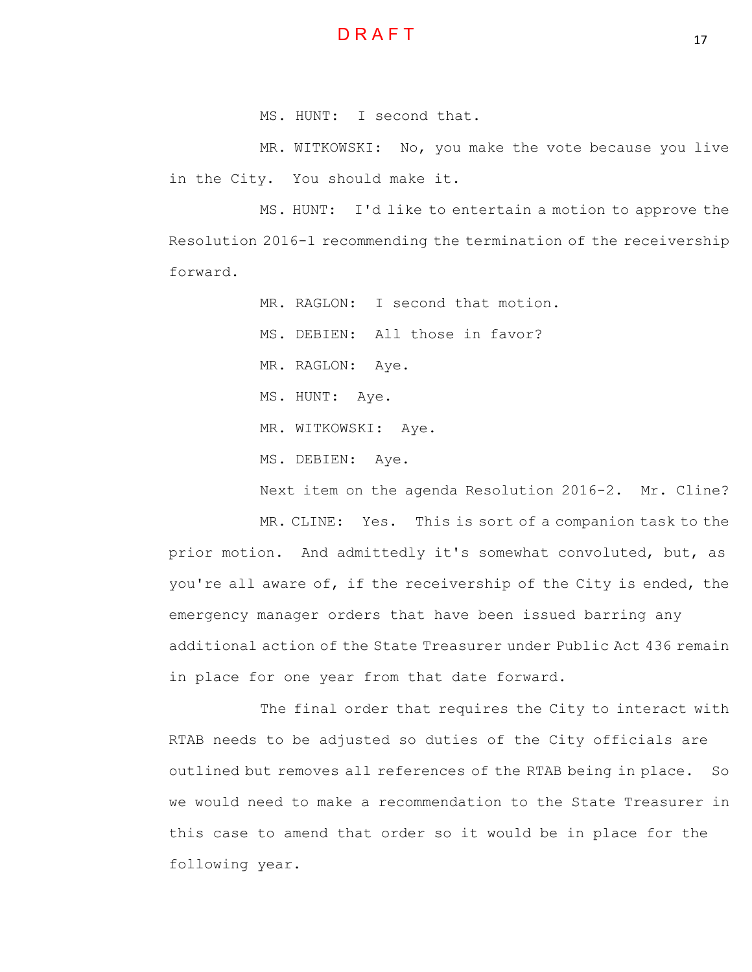

MS. HUNT: I second that.

MR. WITKOWSKI: No, you make the vote because you live in the City. You should make it.

MS. HUNT: I'd like to entertain a motion to approve the Resolution 2016-1 recommending the termination of the receivership forward.

MR. RAGLON: I second that motion.

MS. DEBIEN: All those in favor?

MR. RAGLON: Aye.

MS. HUNT: Aye.

MR. WITKOWSKI: Aye.

MS. DEBIEN: Aye.

Next item on the agenda Resolution 2016-2. Mr. Cline?

MR. CLINE: Yes. This is sort of a companion task to the prior motion. And admittedly it's somewhat convoluted, but, as you're all aware of, if the receivership of the City is ended, the emergency manager orders that have been issued barring any additional action of the State Treasurer under Public Act 436 remain in place for one year from that date forward.

The final order that requires the City to interact with RTAB needs to be adjusted so duties of the City officials are outlined but removes all references of the RTAB being in place. So we would need to make a recommendation to the State Treasurer in this case to amend that order so it would be in place for the following year.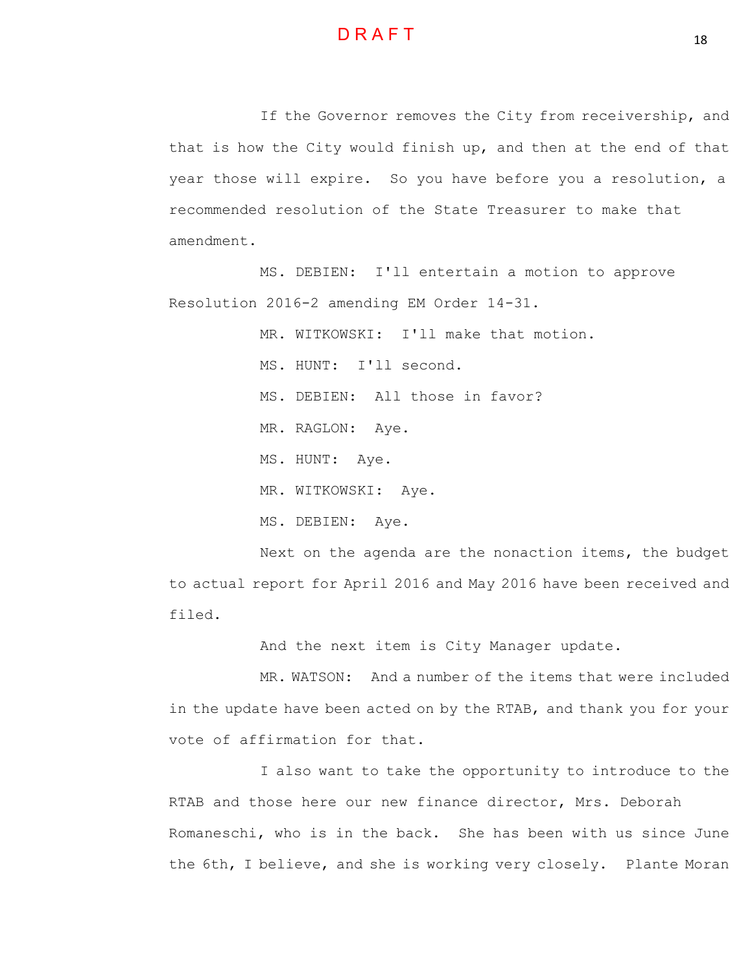

If the Governor removes the City from receivership, and that is how the City would finish up, and then at the end of that year those will expire. So you have before you a resolution, a recommended resolution of the State Treasurer to make that amendment.

MS. DEBIEN: I'll entertain a motion to approve Resolution 2016-2 amending EM Order 14-31.

> MR. WITKOWSKI: I'll make that motion. MS. HUNT: I'll second. MS. DEBIEN: All those in favor? MR. RAGLON: Aye. MS. HUNT: Aye. MR. WITKOWSKI: Aye. MS. DEBIEN: Aye.

Next on the agenda are the nonaction items, the budget to actual report for April 2016 and May 2016 have been received and filed.

And the next item is City Manager update.

MR. WATSON: And a number of the items that were included in the update have been acted on by the RTAB, and thank you for your vote of affirmation for that.

I also want to take the opportunity to introduce to the RTAB and those here our new finance director, Mrs. Deborah Romaneschi, who is in the back. She has been with us since June the 6th, I believe, and she is working very closely. Plante Moran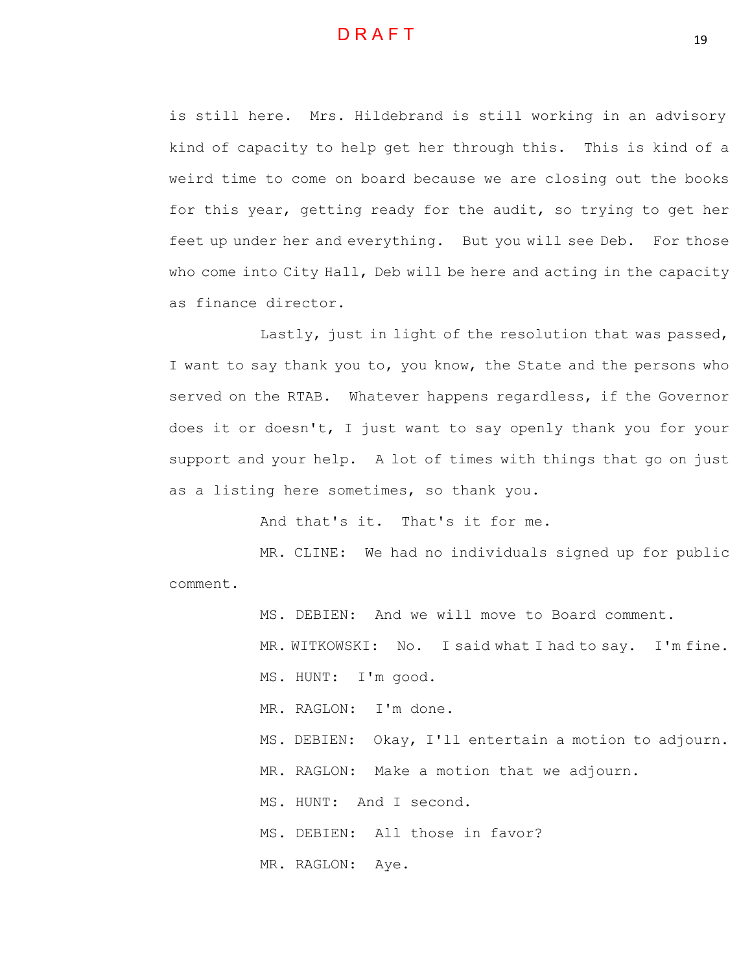

is still here. Mrs. Hildebrand is still working in an advisory kind of capacity to help get her through this. This is kind of a weird time to come on board because we are closing out the books for this year, getting ready for the audit, so trying to get her feet up under her and everything. But you will see Deb. For those who come into City Hall, Deb will be here and acting in the capacity as finance director.

Lastly, just in light of the resolution that was passed, I want to say thank you to, you know, the State and the persons who served on the RTAB. Whatever happens regardless, if the Governor does it or doesn't, I just want to say openly thank you for your support and your help. A lot of times with things that go on just as a listing here sometimes, so thank you.

And that's it. That's it for me.

MR. CLINE: We had no individuals signed up for public comment.

MS. DEBIEN: And we will move to Board comment.

MR. WITKOWSKI: No. I said what I had to say. I'm fine.

MS. HUNT: I'm good.

MR. RAGLON: I'm done.

MS. DEBIEN: Okay, I'll entertain a motion to adjourn.

MR. RAGLON: Make a motion that we adjourn.

MS. HUNT: And I second.

MS. DEBIEN: All those in favor?

MR. RAGLON: Aye.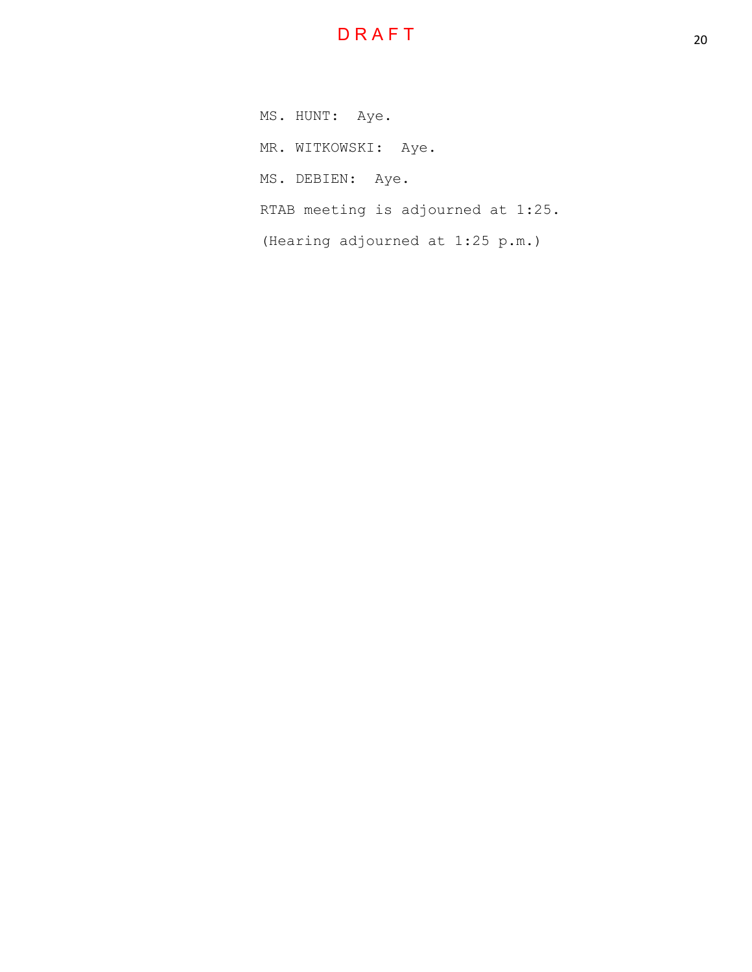# D R A F T

MS. HUNT: Aye. MR. WITKOWSKI: Aye. MS. DEBIEN: Aye. RTAB meeting is adjourned at 1:25. (Hearing adjourned at 1:25 p.m.)